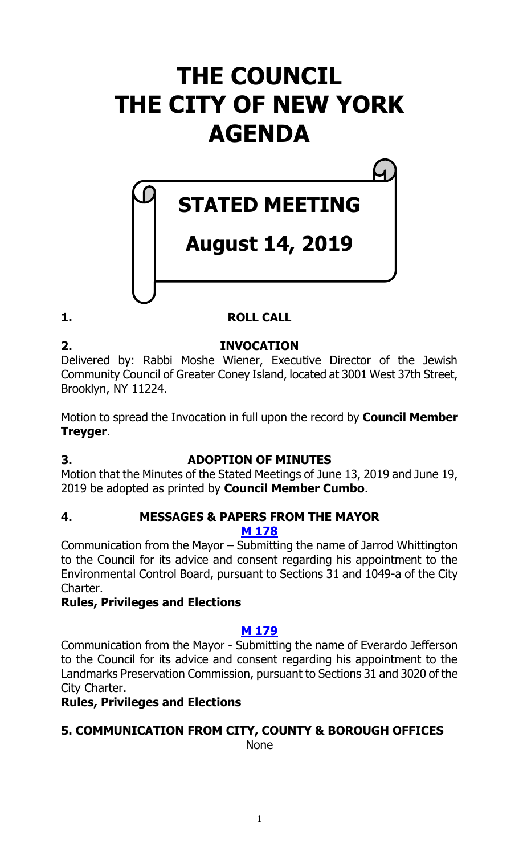# **THE COUNCIL THE CITY OF NEW YORK AGENDA**

# **STATED MEETING**

## **August 14, 2019**

## **1. ROLL CALL**

**2. INVOCATION**

Delivered by: Rabbi Moshe Wiener, Executive Director of the Jewish Community Council of Greater Coney Island, located at 3001 West 37th Street, Brooklyn, NY 11224.

Motion to spread the Invocation in full upon the record by **Council Member Treyger**.

## **3. ADOPTION OF MINUTES**

Motion that the Minutes of the Stated Meetings of June 13, 2019 and June 19, 2019 be adopted as printed by **Council Member Cumbo**.

#### **4. MESSAGES & PAPERS FROM THE MAYOR M [178](https://legistar.council.nyc.gov/LegislationDetail.aspx?ID=4085878&GUID=71CA092A-92FB-40F4-9110-3D0ED219170F&Options=&Search=)**

Communication from the Mayor – Submitting the name of Jarrod Whittington to the Council for its advice and consent regarding his appointment to the Environmental Control Board, pursuant to Sections 31 and 1049-a of the City Charter.

#### **Rules, Privileges and Elections**

#### **M [179](https://legistar.council.nyc.gov/LegislationDetail.aspx?ID=4085877&GUID=180953F2-F6FF-4DB3-A520-8B0938837C8D&Options=&Search=)**

Communication from the Mayor - Submitting the name of Everardo Jefferson to the Council for its advice and consent regarding his appointment to the Landmarks Preservation Commission, pursuant to Sections 31 and 3020 of the City Charter.

#### **Rules, Privileges and Elections**

## **5. COMMUNICATION FROM CITY, COUNTY & BOROUGH OFFICES**

None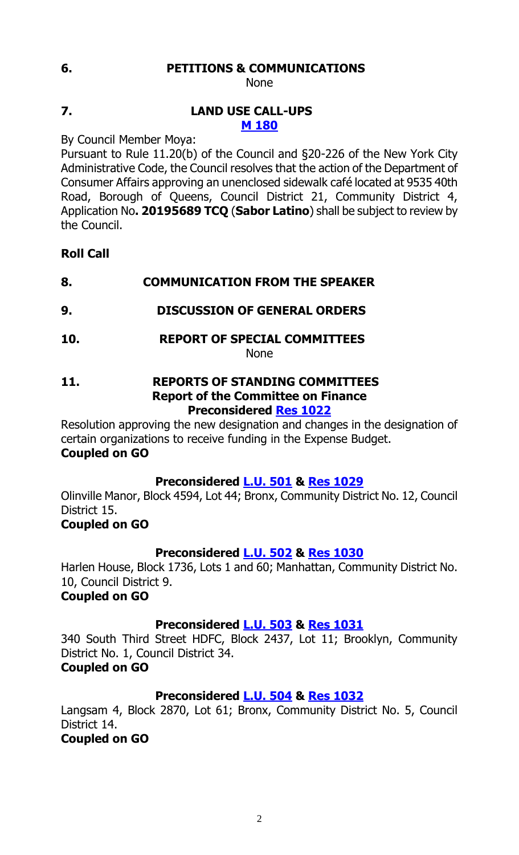#### **6. PETITIONS & COMMUNICATIONS**

None

#### **7. LAND USE CALL-UPS M [180](https://legistar.council.nyc.gov/LegislationDetail.aspx?ID=4085789&GUID=3D2FAE89-AC38-484C-BC6C-0A2E4AAA9519&Options=&Search=)**

By Council Member Moya:

Pursuant to Rule 11.20(b) of the Council and §20-226 of the New York City Administrative Code, the Council resolves that the action of the Department of Consumer Affairs approving an unenclosed sidewalk café located at 9535 40th Road, Borough of Queens, Council District 21, Community District 4, Application No**. 20195689 TCQ** (**Sabor Latino**) shall be subject to review by the Council.

#### **Roll Call**

#### **8. COMMUNICATION FROM THE SPEAKER**

#### **9. DISCUSSION OF GENERAL ORDERS**

**10. REPORT OF SPECIAL COMMITTEES**

None

#### **11. REPORTS OF STANDING COMMITTEES Report of the Committee on Finance Preconsidered Res [1022](https://legistar.council.nyc.gov/LegislationDetail.aspx?ID=4076934&GUID=39E8106F-C9FC-4CE7-AA59-769AE059C062&Options=&Search=)**

Resolution approving the new designation and changes in the designation of certain organizations to receive funding in the Expense Budget. **Coupled on GO**

#### **Preconsidered [L.U.](https://legistar.council.nyc.gov/LegislationDetail.aspx?ID=4082668&GUID=91755EE0-7093-43F9-BAF3-032BCA3D28A1&Options=&Search=) 501 & Res [1029](https://legistar.council.nyc.gov/LegislationDetail.aspx?ID=4085874&GUID=721A0096-E5D4-499A-B5C6-17EA40F65DDE&Options=&Search=)**

Olinville Manor, Block 4594, Lot 44; Bronx, Community District No. 12, Council District 15.

#### **Coupled on GO**

#### **Preconsidered [L.U.](https://legistar.council.nyc.gov/LegislationDetail.aspx?ID=4082669&GUID=338E3B4A-7879-4D03-8037-0AC23B5EA472&Options=&Search=) 502 & Res [1030](https://legistar.council.nyc.gov/LegislationDetail.aspx?ID=4085875&GUID=E6E5DDB4-0223-4590-BDF0-030C146BA8C3&Options=&Search=)**

Harlen House, Block 1736, Lots 1 and 60; Manhattan, Community District No. 10, Council District 9.

#### **Coupled on GO**

#### **Preconsidered [L.U.](https://legistar.council.nyc.gov/LegislationDetail.aspx?ID=4082670&GUID=CD395D7F-6821-4026-A498-5027533E2B91&Options=&Search=) 503 & Res [1031](https://legistar.council.nyc.gov/LegislationDetail.aspx?ID=4085876&GUID=DCAB4C67-EAC0-48F4-B591-390DB015C243&Options=&Search=)**

340 South Third Street HDFC, Block 2437, Lot 11; Brooklyn, Community District No. 1, Council District 34.

#### **Coupled on GO**

#### **Preconsidered [L.U.](https://legistar.council.nyc.gov/LegislationDetail.aspx?ID=4084757&GUID=70ED26A1-5F90-48C0-BA49-3524EE8B2824&Options=&Search=) 504 & Res [1032](https://legistar.council.nyc.gov/LegislationDetail.aspx?ID=4085879&GUID=56AF96BE-9546-4A3A-B3EC-07750064AABC&Options=&Search=)**

Langsam 4, Block 2870, Lot 61; Bronx, Community District No. 5, Council District 14.

#### **Coupled on GO**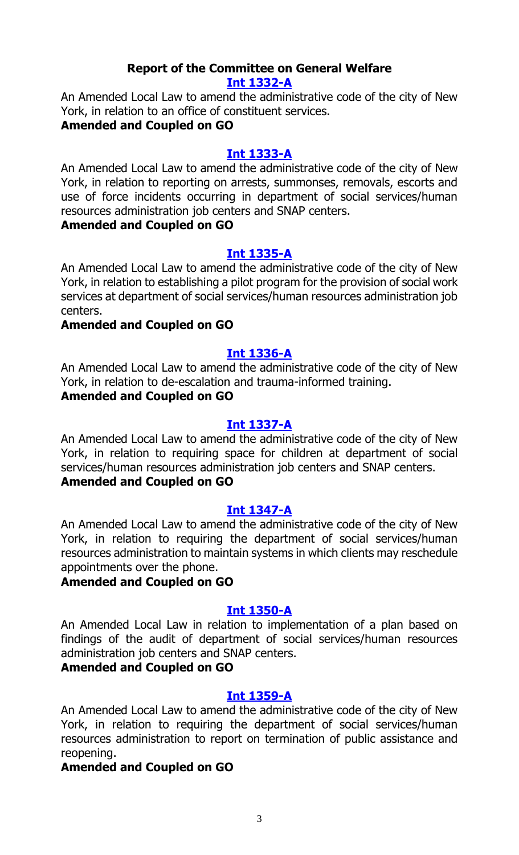#### **Report of the Committee on General Welfare [Int 1332-A](https://legistar.council.nyc.gov/LegislationDetail.aspx?ID=3840820&GUID=D4B79683-7A7C-491C-89A7-E25B42871858&Options=&Search=)**

An Amended Local Law to amend the administrative code of the city of New York, in relation to an office of constituent services.

#### **Amended and Coupled on GO**

#### **[Int 1333-A](https://legistar.council.nyc.gov/LegislationDetail.aspx?ID=3840816&GUID=90596DBF-AEC7-47A5-BF3E-EA446EC68C7E&Options=&Search=)**

An Amended Local Law to amend the administrative code of the city of New York, in relation to reporting on arrests, summonses, removals, escorts and use of force incidents occurring in department of social services/human resources administration job centers and SNAP centers.

#### **Amended and Coupled on GO**

#### **[Int 1335-A](https://legistar.council.nyc.gov/LegislationDetail.aspx?ID=3840817&GUID=28F074EC-EA5A-4A7E-A9FF-207D43223E51&Options=&Search=)**

An Amended Local Law to amend the administrative code of the city of New York, in relation to establishing a pilot program for the provision of social work services at department of social services/human resources administration job centers.

#### **Amended and Coupled on GO**

#### **[Int 1336-A](https://legistar.council.nyc.gov/LegislationDetail.aspx?ID=3840819&GUID=1F5CA044-E394-4D60-A0C7-05425F6AD33A&Options=&Search=)**

An Amended Local Law to amend the administrative code of the city of New York, in relation to de-escalation and trauma-informed training.

## **Amended and Coupled on GO**

#### **[Int 1337-A](https://legistar.council.nyc.gov/LegislationDetail.aspx?ID=3840818&GUID=EBD2B11D-A429-4310-93DF-5D58DA9C558C&Options=&Search=)**

An Amended Local Law to amend the administrative code of the city of New York, in relation to requiring space for children at department of social services/human resources administration job centers and SNAP centers. **Amended and Coupled on GO**

#### **[Int 1347-A](https://legistar.council.nyc.gov/LegislationDetail.aspx?ID=3840822&GUID=B28D221A-F09D-4988-9E79-12E4240F6310&Options=&Search=)**

An Amended Local Law to amend the administrative code of the city of New York, in relation to requiring the department of social services/human resources administration to maintain systems in which clients may reschedule appointments over the phone.

#### **Amended and Coupled on GO**

#### **[Int 1350-A](https://legistar.council.nyc.gov/LegislationDetail.aspx?ID=3840815&GUID=7CE8F252-9389-4563-BA43-456489ED1905&Options=&Search=)**

An Amended Local Law in relation to implementation of a plan based on findings of the audit of department of social services/human resources administration job centers and SNAP centers.

#### **Amended and Coupled on GO**

#### **[Int 1359-A](https://legistar.council.nyc.gov/LegislationDetail.aspx?ID=3840821&GUID=50640DFF-B32E-49DA-93D1-5C63B52832DD&Options=&Search=)**

An Amended Local Law to amend the administrative code of the city of New York, in relation to requiring the department of social services/human resources administration to report on termination of public assistance and reopening.

#### **Amended and Coupled on GO**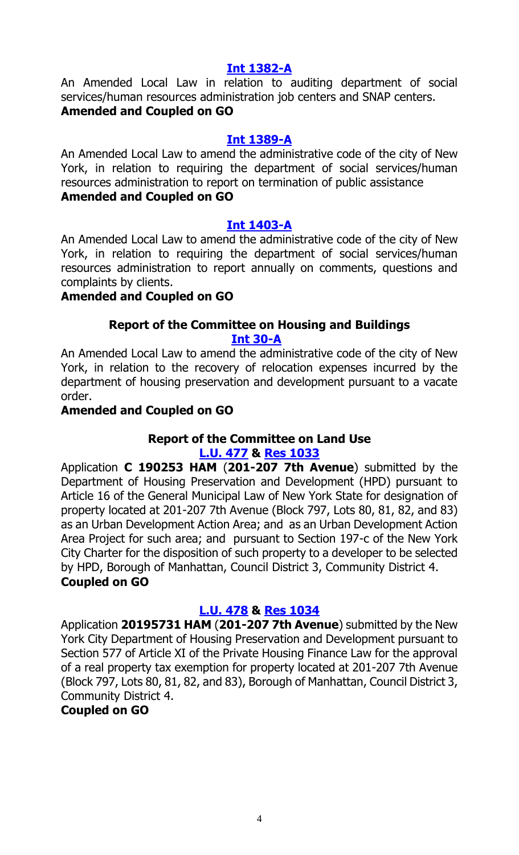#### **Int [1382-A](https://legistar.council.nyc.gov/LegislationDetail.aspx?ID=3840852&GUID=159A8F38-2CDE-4B8E-9E5D-502F11FC211C&Options=&Search=)**

An Amended Local Law in relation to auditing department of social services/human resources administration job centers and SNAP centers. **Amended and Coupled on GO**

#### **Int [1389-A](https://legistar.council.nyc.gov/LegislationDetail.aspx?ID=3840854&GUID=6A084E1A-DDFD-44ED-A59B-2B47F35DC3BE&Options=&Search=)**

An Amended Local Law to amend the administrative code of the city of New York, in relation to requiring the department of social services/human resources administration to report on termination of public assistance **Amended and Coupled on GO**

#### **Int [1403-A](https://legistar.council.nyc.gov/LegislationDetail.aspx?ID=3843682&GUID=D547FF29-E30A-42B7-B469-B0EC4E68E11C&Options=&Search=)**

An Amended Local Law to amend the administrative code of the city of New York, in relation to requiring the department of social services/human resources administration to report annually on comments, questions and complaints by clients.

#### **Amended and Coupled on GO**

#### **Report of the Committee on Housing and Buildings [Int 30-A](https://legistar.council.nyc.gov/LegislationDetail.aspx?ID=3331713&GUID=A7422AF5-6077-4764-A384-1BF941B24132&Options=&Search=)**

An Amended Local Law to amend the administrative code of the city of New York, in relation to the recovery of relocation expenses incurred by the department of housing preservation and development pursuant to a vacate order.

#### **Amended and Coupled on GO**

## **Report of the Committee on Land Use**

**[L.U. 477](https://legistar.council.nyc.gov/LegislationDetail.aspx?ID=4059119&GUID=7B96D4BD-8128-4DB9-942C-C677F175555B&Options=&Search=) & [Res 1033](https://legistar.council.nyc.gov/LegislationDetail.aspx?ID=4085939&GUID=DD9EDF8D-C05F-4AA6-BF8E-876365523562&Options=&Search=)**

Application **C 190253 HAM** (**201-207 7th Avenue**) submitted by the Department of Housing Preservation and Development (HPD) pursuant to Article 16 of the General Municipal Law of New York State for designation of property located at 201-207 7th Avenue (Block 797, Lots 80, 81, 82, and 83) as an Urban Development Action Area; and as an Urban Development Action Area Project for such area; and pursuant to Section 197-c of the New York City Charter for the disposition of such property to a developer to be selected by HPD, Borough of Manhattan, Council District 3, Community District 4. **Coupled on GO**

#### **[L.U. 478](https://legistar.council.nyc.gov/LegislationDetail.aspx?ID=4059135&GUID=65362B66-0597-4094-B982-802B8E6C3AB7&Options=&Search=) & [Res 1034](https://legistar.council.nyc.gov/LegislationDetail.aspx?ID=4085940&GUID=CAFB8776-68C1-473A-91D6-5D2938C23C36&Options=&Search=)**

Application **20195731 HAM** (**201-207 7th Avenue**) submitted by the New York City Department of Housing Preservation and Development pursuant to Section 577 of Article XI of the Private Housing Finance Law for the approval of a real property tax exemption for property located at 201-207 7th Avenue (Block 797, Lots 80, 81, 82, and 83), Borough of Manhattan, Council District 3, Community District 4.

#### **Coupled on GO**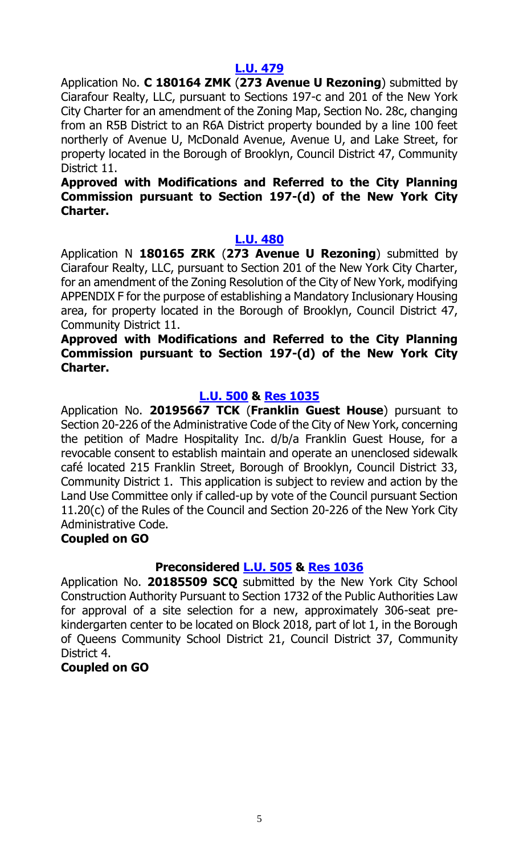#### **[L.U. 479](https://legistar.council.nyc.gov/LegislationDetail.aspx?ID=4059117&GUID=6FC758AA-6738-4C92-AB43-97245C445EF3&Options=&Search=)**

Application No. **C 180164 ZMK** (**273 Avenue U Rezoning**) submitted by Ciarafour Realty, LLC, pursuant to Sections 197-c and 201 of the New York City Charter for an amendment of the Zoning Map, Section No. 28c, changing from an R5B District to an R6A District property bounded by a line 100 feet northerly of Avenue U, McDonald Avenue, Avenue U, and Lake Street, for property located in the Borough of Brooklyn, Council District 47, Community District 11.

#### **Approved with Modifications and Referred to the City Planning Commission pursuant to Section 197-(d) of the New York City Charter.**

#### **[L.U. 480](https://legistar.council.nyc.gov/LegislationDetail.aspx?ID=4059118&GUID=0C36879E-B719-4052-86C1-A9819A7FE1E4&Options=&Search=)**

Application N **180165 ZRK** (**273 Avenue U Rezoning**) submitted by Ciarafour Realty, LLC, pursuant to Section 201 of the New York City Charter, for an amendment of the Zoning Resolution of the City of New York, modifying APPENDIX F for the purpose of establishing a Mandatory Inclusionary Housing area, for property located in the Borough of Brooklyn, Council District 47, Community District 11.

#### **Approved with Modifications and Referred to the City Planning Commission pursuant to Section 197-(d) of the New York City Charter.**

#### **[L.U. 500](https://legistar.council.nyc.gov/LegislationDetail.aspx?ID=4068826&GUID=EB46909B-9C89-4435-AA9C-A5EB46C44AC2&Options=&Search=) & [Res 1035](https://legistar.council.nyc.gov/LegislationDetail.aspx?ID=4085941&GUID=57D466AC-965C-4493-A2D5-7CE835F0A3E1&Options=&Search=)**

Application No. **20195667 TCK** (**Franklin Guest House**) pursuant to Section 20-226 of the Administrative Code of the City of New York, concerning the petition of Madre Hospitality Inc. d/b/a Franklin Guest House, for a revocable consent to establish maintain and operate an unenclosed sidewalk café located 215 Franklin Street, Borough of Brooklyn, Council District 33, Community District 1. This application is subject to review and action by the Land Use Committee only if called-up by vote of the Council pursuant Section 11.20(c) of the Rules of the Council and Section 20-226 of the New York City Administrative Code.

#### **Coupled on GO**

#### **Preconsidered [L.U.](https://legistar.council.nyc.gov/LegislationDetail.aspx?ID=4077429&GUID=9C55A7BB-0D1B-4DB6-B248-7F53615E73E7&Options=&Search=) 505 & [Res 1036](https://legistar.council.nyc.gov/LegislationDetail.aspx?ID=4085942&GUID=C405FFD0-9E13-4A1E-B8F0-8060597457A2&Options=&Search=)**

Application No. **20185509 SCQ** submitted by the New York City School Construction Authority Pursuant to Section 1732 of the Public Authorities Law for approval of a site selection for a new, approximately 306-seat prekindergarten center to be located on Block 2018, part of lot 1, in the Borough of Queens Community School District 21, Council District 37, Community District 4.

#### **Coupled on GO**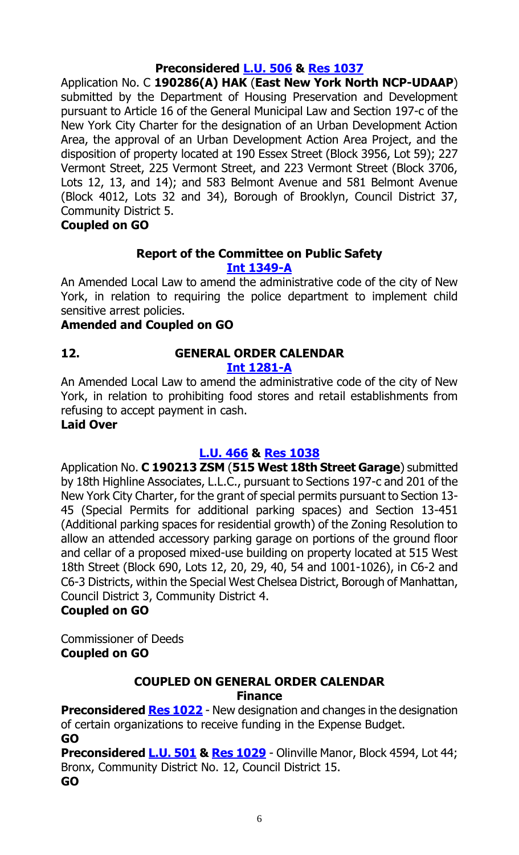## **Preconsidered [L.U.](https://legistar.council.nyc.gov/LegislationDetail.aspx?ID=4077433&GUID=FD10AF75-ED12-41D6-80A1-3DC8C310D5B2&Options=&Search=) 506 & [Res 1037](https://legistar.council.nyc.gov/LegislationDetail.aspx?ID=4085943&GUID=E462A308-EE6A-44D9-94F4-9FBF9AC2F363&Options=&Search=)**

Application No. C **190286(A) HAK** (**East New York North NCP-UDAAP**) submitted by the Department of Housing Preservation and Development pursuant to Article 16 of the General Municipal Law and Section 197-c of the New York City Charter for the designation of an Urban Development Action Area, the approval of an Urban Development Action Area Project, and the disposition of property located at 190 Essex Street (Block 3956, Lot 59); 227 Vermont Street, 225 Vermont Street, and 223 Vermont Street (Block 3706, Lots 12, 13, and 14); and 583 Belmont Avenue and 581 Belmont Avenue (Block 4012, Lots 32 and 34), Borough of Brooklyn, Council District 37, Community District 5.

**Coupled on GO**

#### **Report of the Committee on Public Safety [Int 1349-A](https://legistar.council.nyc.gov/LegislationDetail.aspx?ID=3844837&GUID=F33CCA96-2836-4B2C-9D6B-C6E86387787B&Options=&Search=)**

An Amended Local Law to amend the administrative code of the city of New York, in relation to requiring the police department to implement child sensitive arrest policies.

#### **Amended and Coupled on GO**

#### **12. GENERAL ORDER CALENDAR [Int 1281-A](https://legistar.council.nyc.gov/LegislationDetail.aspx?ID=3763665&GUID=7800AFC9-D8B1-41FD-9C31-172565712686&Options=&Search=)**

An Amended Local Law to amend the administrative code of the city of New York, in relation to prohibiting food stores and retail establishments from refusing to accept payment in cash.

#### **Laid Over**

## **[L.U. 466](https://legistar.council.nyc.gov/LegislationDetail.aspx?ID=3983148&GUID=7F426683-7E7B-4BB5-9B73-428D2E4694A4&Options=&Search=) & Res [1038](https://legistar.council.nyc.gov/LegislationDetail.aspx?ID=4066750&GUID=74544F39-A326-482F-830D-99C9D5EF70C8&Options=&Search=)**

Application No. **C 190213 ZSM** (**515 West 18th Street Garage**) submitted by 18th Highline Associates, L.L.C., pursuant to Sections 197-c and 201 of the New York City Charter, for the grant of special permits pursuant to Section 13- 45 (Special Permits for additional parking spaces) and Section 13-451 (Additional parking spaces for residential growth) of the Zoning Resolution to allow an attended accessory parking garage on portions of the ground floor and cellar of a proposed mixed-use building on property located at 515 West 18th Street (Block 690, Lots 12, 20, 29, 40, 54 and 1001-1026), in C6-2 and C6-3 Districts, within the Special West Chelsea District, Borough of Manhattan, Council District 3, Community District 4.

## **Coupled on GO**

Commissioner of Deeds **Coupled on GO**

#### **COUPLED ON GENERAL ORDER CALENDAR Finance**

**Preconsidered [Res 1022](https://legistar.council.nyc.gov/LegislationDetail.aspx?ID=4076934&GUID=39E8106F-C9FC-4CE7-AA59-769AE059C062&Options=&Search=)** - New designation and changes in the designation of certain organizations to receive funding in the Expense Budget. **GO**

**Preconsidered [L.U. 501](https://legistar.council.nyc.gov/LegislationDetail.aspx?ID=4082668&GUID=91755EE0-7093-43F9-BAF3-032BCA3D28A1&Options=&Search=) & [Res 1029](https://legistar.council.nyc.gov/LegislationDetail.aspx?ID=4085874&GUID=721A0096-E5D4-499A-B5C6-17EA40F65DDE&Options=&Search=)** - Olinville Manor, Block 4594, Lot 44; Bronx, Community District No. 12, Council District 15. **GO**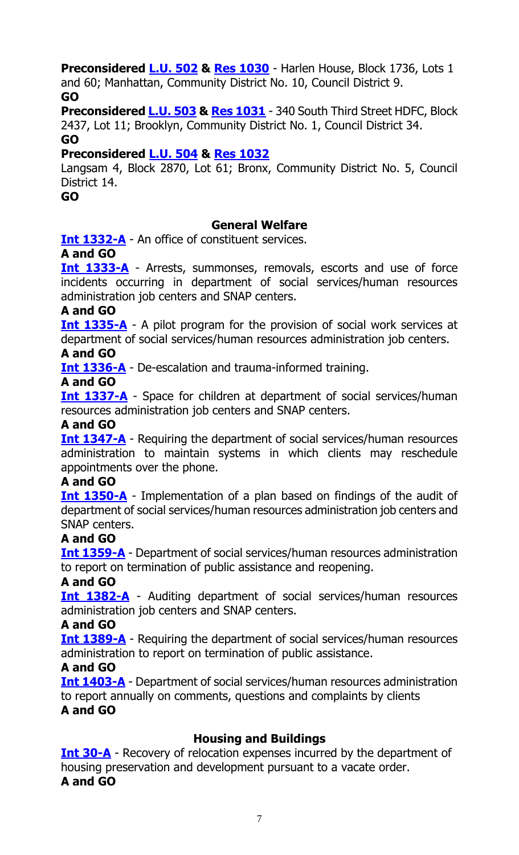**Preconsidered [L.U. 502](https://legistar.council.nyc.gov/LegislationDetail.aspx?ID=4082669&GUID=338E3B4A-7879-4D03-8037-0AC23B5EA472&Options=&Search=) & [Res 1030](https://legistar.council.nyc.gov/LegislationDetail.aspx?ID=4085875&GUID=E6E5DDB4-0223-4590-BDF0-030C146BA8C3&Options=&Search=)** - Harlen House, Block 1736, Lots 1 and 60; Manhattan, Community District No. 10, Council District 9. **GO**

**Preconsidered [L.U. 503](https://legistar.council.nyc.gov/LegislationDetail.aspx?ID=4082670&GUID=CD395D7F-6821-4026-A498-5027533E2B91&Options=&Search=) & [Res 1031](https://legistar.council.nyc.gov/LegislationDetail.aspx?ID=4085876&GUID=DCAB4C67-EAC0-48F4-B591-390DB015C243&Options=&Search=)** - 340 South Third Street HDFC, Block 2437, Lot 11; Brooklyn, Community District No. 1, Council District 34. **GO**

### **Preconsidered [L.U. 504](https://legistar.council.nyc.gov/LegislationDetail.aspx?ID=4084757&GUID=70ED26A1-5F90-48C0-BA49-3524EE8B2824&Options=&Search=) & [Res 1032](https://legistar.council.nyc.gov/LegislationDetail.aspx?ID=4085879&GUID=56AF96BE-9546-4A3A-B3EC-07750064AABC&Options=&Search=)**

Langsam 4, Block 2870, Lot 61; Bronx, Community District No. 5, Council District 14.

**GO**

#### **General Welfare**

**[Int 1332-A](https://legistar.council.nyc.gov/LegislationDetail.aspx?ID=3840820&GUID=D4B79683-7A7C-491C-89A7-E25B42871858&Options=&Search=)** - An office of constituent services.

#### **A and GO**

**[Int 1333-A](https://legistar.council.nyc.gov/LegislationDetail.aspx?ID=3840816&GUID=90596DBF-AEC7-47A5-BF3E-EA446EC68C7E&Options=&Search=)** - Arrests, summonses, removals, escorts and use of force incidents occurring in department of social services/human resources administration job centers and SNAP centers.

#### **A and GO**

**[Int 1335-A](https://legistar.council.nyc.gov/LegislationDetail.aspx?ID=3840817&GUID=28F074EC-EA5A-4A7E-A9FF-207D43223E51&Options=&Search=)** - A pilot program for the provision of social work services at department of social services/human resources administration job centers.

#### **A and GO**

**[Int 1336-A](https://legistar.council.nyc.gov/LegislationDetail.aspx?ID=3840819&GUID=1F5CA044-E394-4D60-A0C7-05425F6AD33A&Options=&Search=)** - De-escalation and trauma-informed training.

#### **A and GO**

**[Int 1337-A](https://legistar.council.nyc.gov/LegislationDetail.aspx?ID=3840818&GUID=EBD2B11D-A429-4310-93DF-5D58DA9C558C&Options=&Search=)** - Space for children at department of social services/human resources administration job centers and SNAP centers.

#### **A and GO**

**[Int 1347-A](https://legistar.council.nyc.gov/LegislationDetail.aspx?ID=3840822&GUID=B28D221A-F09D-4988-9E79-12E4240F6310&Options=&Search=)** - Requiring the department of social services/human resources administration to maintain systems in which clients may reschedule appointments over the phone.

#### **A and GO**

**[Int 1350-A](https://legistar.council.nyc.gov/LegislationDetail.aspx?ID=3840815&GUID=7CE8F252-9389-4563-BA43-456489ED1905&Options=&Search=)** - Implementation of a plan based on findings of the audit of department of social services/human resources administration job centers and SNAP centers.

#### **A and GO**

**[Int 1359-A](https://legistar.council.nyc.gov/LegislationDetail.aspx?ID=3840821&GUID=50640DFF-B32E-49DA-93D1-5C63B52832DD&Options=&Search=)** - Department of social services/human resources administration to report on termination of public assistance and reopening.

#### **A and GO**

**[Int 1382-A](https://legistar.council.nyc.gov/LegislationDetail.aspx?ID=3840852&GUID=159A8F38-2CDE-4B8E-9E5D-502F11FC211C&Options=&Search=)** - Auditing department of social services/human resources administration job centers and SNAP centers.

#### **A and GO**

**[Int 1389-A](https://legistar.council.nyc.gov/LegislationDetail.aspx?ID=3840854&GUID=6A084E1A-DDFD-44ED-A59B-2B47F35DC3BE&Options=&Search=)** - Requiring the department of social services/human resources administration to report on termination of public assistance.

#### **A and GO**

**[Int 1403-A](https://legistar.council.nyc.gov/LegislationDetail.aspx?ID=3843682&GUID=D547FF29-E30A-42B7-B469-B0EC4E68E11C&Options=&Search=)** - Department of social services/human resources administration to report annually on comments, questions and complaints by clients **A and GO**

#### **Housing and Buildings**

**[Int 30-A](https://legistar.council.nyc.gov/LegislationDetail.aspx?ID=3331713&GUID=A7422AF5-6077-4764-A384-1BF941B24132&Options=&Search=)** - Recovery of relocation expenses incurred by the department of housing preservation and development pursuant to a vacate order. **A and GO**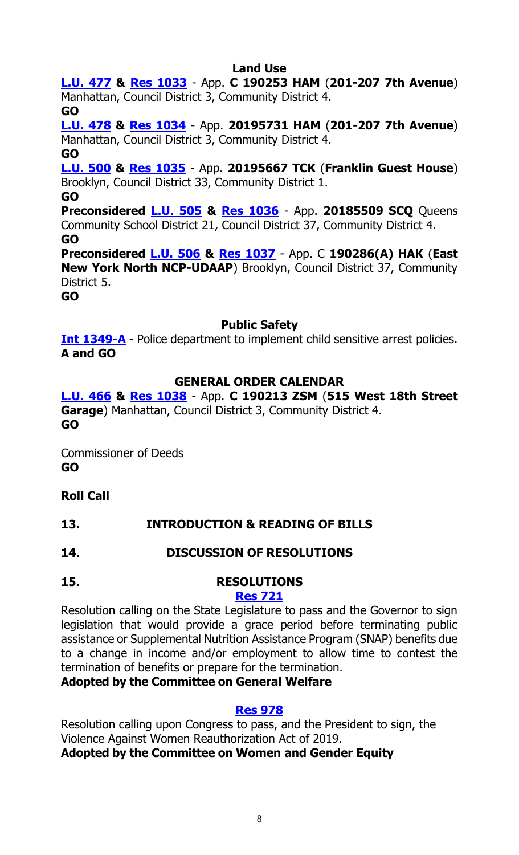#### **Land Use**

**[L.U. 477](https://legistar.council.nyc.gov/LegislationDetail.aspx?ID=4059119&GUID=7B96D4BD-8128-4DB9-942C-C677F175555B&Options=&Search=) & [Res 1033](https://legistar.council.nyc.gov/LegislationDetail.aspx?ID=4085939&GUID=DD9EDF8D-C05F-4AA6-BF8E-876365523562&Options=&Search=)** - App. **C 190253 HAM** (**201-207 7th Avenue**) Manhattan, Council District 3, Community District 4.

**GO**

**[L.U. 478](https://legistar.council.nyc.gov/LegislationDetail.aspx?ID=4059135&GUID=65362B66-0597-4094-B982-802B8E6C3AB7&Options=&Search=) & [Res 1034](https://legistar.council.nyc.gov/LegislationDetail.aspx?ID=4085940&GUID=CAFB8776-68C1-473A-91D6-5D2938C23C36&Options=&Search=)** - App. **20195731 HAM** (**201-207 7th Avenue**) Manhattan, Council District 3, Community District 4.

#### **GO**

**[L.U. 500](https://legistar.council.nyc.gov/LegislationDetail.aspx?ID=4068826&GUID=EB46909B-9C89-4435-AA9C-A5EB46C44AC2&Options=&Search=) & [Res 1035](https://legistar.council.nyc.gov/LegislationDetail.aspx?ID=4085941&GUID=57D466AC-965C-4493-A2D5-7CE835F0A3E1&Options=&Search=)** - App. **20195667 TCK** (**Franklin Guest House**) Brooklyn, Council District 33, Community District 1.

#### **GO**

**Preconsidered [L.U.](https://legistar.council.nyc.gov/LegislationDetail.aspx?ID=4077429&GUID=9C55A7BB-0D1B-4DB6-B248-7F53615E73E7&Options=&Search=) 505 & [Res 1036](https://legistar.council.nyc.gov/LegislationDetail.aspx?ID=4085942&GUID=C405FFD0-9E13-4A1E-B8F0-8060597457A2&Options=&Search=)** - App. **20185509 SCQ** Queens Community School District 21, Council District 37, Community District 4. **GO**

**Preconsidered [L.U.](https://legistar.council.nyc.gov/LegislationDetail.aspx?ID=4077433&GUID=FD10AF75-ED12-41D6-80A1-3DC8C310D5B2&Options=&Search=) 506 & [Res 1037](https://legistar.council.nyc.gov/LegislationDetail.aspx?ID=4085943&GUID=E462A308-EE6A-44D9-94F4-9FBF9AC2F363&Options=&Search=)** - App. C **190286(A) HAK** (**East New York North NCP-UDAAP**) Brooklyn, Council District 37, Community District 5.

**GO**

#### **Public Safety**

**[Int 1349-A](https://legistar.council.nyc.gov/LegislationDetail.aspx?ID=3844837&GUID=F33CCA96-2836-4B2C-9D6B-C6E86387787B&Options=&Search=)** - Police department to implement child sensitive arrest policies. **A and GO**

#### **GENERAL ORDER CALENDAR**

**[L.U. 466](https://legistar.council.nyc.gov/LegislationDetail.aspx?ID=3983148&GUID=7F426683-7E7B-4BB5-9B73-428D2E4694A4&Options=&Search=) & Res [1038](https://legistar.council.nyc.gov/LegislationDetail.aspx?ID=4066750&GUID=74544F39-A326-482F-830D-99C9D5EF70C8&Options=&Search=)** - App. **C 190213 ZSM** (**515 West 18th Street Garage**) Manhattan, Council District 3, Community District 4. **GO**

Commissioner of Deeds **GO**

## **Roll Call**

#### **13. INTRODUCTION & READING OF BILLS**

#### **14. DISCUSSION OF RESOLUTIONS**

## **15. RESOLUTIONS**

#### **[Res 721](https://legistar.council.nyc.gov/LegislationDetail.aspx?ID=3840851&GUID=CC2E7BA9-CB2E-43B5-B1EE-9AF9D831E402&Options=&Search=)**

Resolution calling on the State Legislature to pass and the Governor to sign legislation that would provide a grace period before terminating public assistance or Supplemental Nutrition Assistance Program (SNAP) benefits due to a change in income and/or employment to allow time to contest the termination of benefits or prepare for the termination.

#### **Adopted by the Committee on General Welfare**

#### **[Res 978](https://legistar.council.nyc.gov/LegislationDetail.aspx?ID=3990831&GUID=EFCEC412-DD0B-4BA0-B9E7-ACF43D04BD5C&Options=&Search=)**

Resolution calling upon Congress to pass, and the President to sign, the Violence Against Women Reauthorization Act of 2019. **Adopted by the Committee on Women and Gender Equity**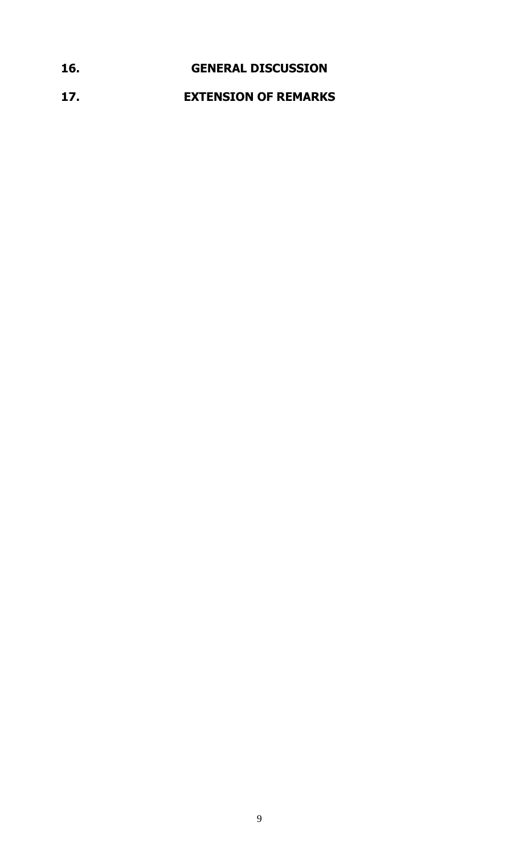## **16. GENERAL DISCUSSION 17. EXTENSION OF REMARKS**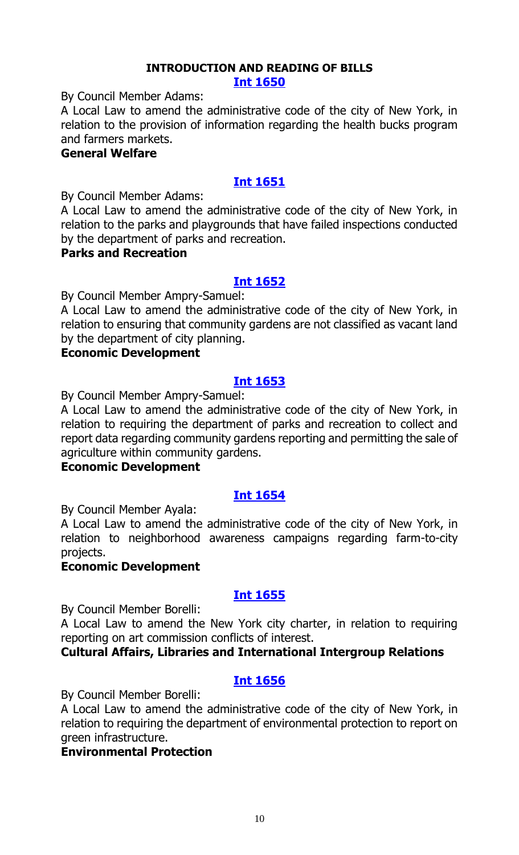#### **INTRODUCTION AND READING OF BILLS [Int 1650](https://legistar.council.nyc.gov/LegislationDetail.aspx?ID=4085702&GUID=FB7D446B-4CC8-4713-B51B-318E6DC4B77A&Options=ID%7cText%7c&Search=)**

By Council Member Adams:

A Local Law to amend the administrative code of the city of New York, in relation to the provision of information regarding the health bucks program and farmers markets.

#### **General Welfare**

#### **[Int 1651](https://legistar.council.nyc.gov/LegislationDetail.aspx?ID=4085700&GUID=3399AD2B-772C-4519-9B3A-195A7B13A53A&Options=ID|Text|&Search=)**

By Council Member Adams:

A Local Law to amend the administrative code of the city of New York, in relation to the parks and playgrounds that have failed inspections conducted by the department of parks and recreation.

#### **Parks and Recreation**

#### **[Int 1652](https://legistar.council.nyc.gov/LegislationDetail.aspx?ID=4085720&GUID=0BF9E641-10DA-4AB2-860C-6FB2CE3ABB43&Options=ID|Text|&Search=)**

By Council Member Ampry-Samuel:

A Local Law to amend the administrative code of the city of New York, in relation to ensuring that community gardens are not classified as vacant land by the department of city planning.

#### **Economic Development**

#### **[Int 1653](https://legistar.council.nyc.gov/LegislationDetail.aspx?ID=4085719&GUID=0315EF0E-68A9-4CFE-881B-BE775F9A82DB&Options=ID|Text|&Search=)**

By Council Member Ampry-Samuel:

A Local Law to amend the administrative code of the city of New York, in relation to requiring the department of parks and recreation to collect and report data regarding community gardens reporting and permitting the sale of agriculture within community gardens.

#### **Economic Development**

#### **[Int 1654](https://legistar.council.nyc.gov/LegislationDetail.aspx?ID=4085713&GUID=ED6D4F20-D2ED-4D26-A9C0-E658A03C1682&Options=ID|Text|&Search=)**

By Council Member Ayala:

A Local Law to amend the administrative code of the city of New York, in relation to neighborhood awareness campaigns regarding farm-to-city projects.

#### **Economic Development**

#### **[Int 1655](https://legistar.council.nyc.gov/LegislationDetail.aspx?ID=4085696&GUID=0A7C483F-1810-4453-A0F2-2F62699BFD5F&Options=ID|Text|&Search=)**

By Council Member Borelli:

A Local Law to amend the New York city charter, in relation to requiring reporting on art commission conflicts of interest.

#### **Cultural Affairs, Libraries and International Intergroup Relations**

#### **[Int 1656](https://legistar.council.nyc.gov/LegislationDetail.aspx?ID=4085701&GUID=4E35A3D7-A7CE-4EE5-9F1A-B3434DE5E4EA&Options=ID|Text|&Search=)**

By Council Member Borelli:

A Local Law to amend the administrative code of the city of New York, in relation to requiring the department of environmental protection to report on green infrastructure.

#### **Environmental Protection**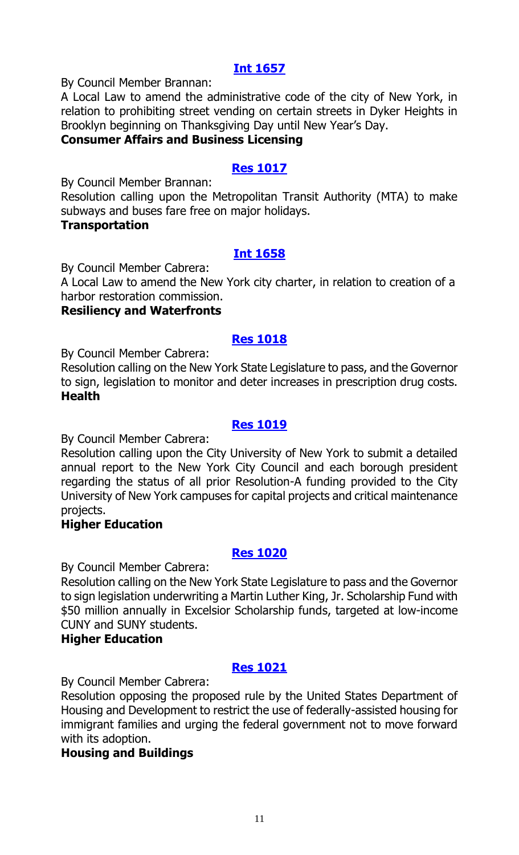By Council Member Brannan:

A Local Law to amend the administrative code of the city of New York, in relation to prohibiting street vending on certain streets in Dyker Heights in Brooklyn beginning on Thanksgiving Day until New Year's Day.

#### **Consumer Affairs and Business Licensing**

#### **[Res 1017](https://legistar.council.nyc.gov/LegislationDetail.aspx?ID=4085712&GUID=20AE35E9-062B-4952-BBE7-3F2784591AB7&Options=ID%7cText%7c&Search=)**

By Council Member Brannan:

Resolution calling upon the Metropolitan Transit Authority (MTA) to make subways and buses fare free on major holidays.

#### **Transportation**

#### **[Int 1658](https://legistar.council.nyc.gov/LegislationDetail.aspx?ID=4085716&GUID=32B764FA-C4E3-4ED5-ABFC-07D0CB643E2E&Options=ID|Text|&Search=)**

By Council Member Cabrera:

A Local Law to amend the New York city charter, in relation to creation of a harbor restoration commission.

#### **Resiliency and Waterfronts**

#### **[Res 1018](https://legistar.council.nyc.gov/LegislationDetail.aspx?ID=4085699&GUID=62628116-3BAD-4F65-AB52-DBBB4685539E&Options=ID|Text|&Search=)**

By Council Member Cabrera:

Resolution calling on the New York State Legislature to pass, and the Governor to sign, legislation to monitor and deter increases in prescription drug costs. **Health**

#### **[Res 1019](https://legistar.council.nyc.gov/LegislationDetail.aspx?ID=4085698&GUID=B6B3F7AD-4AE0-4D58-B7A6-455CFD071E6A&Options=ID|Text|&Search=)**

By Council Member Cabrera:

Resolution calling upon the City University of New York to submit a detailed annual report to the New York City Council and each borough president regarding the status of all prior Resolution-A funding provided to the City University of New York campuses for capital projects and critical maintenance projects.

#### **Higher Education**

#### **[Res 1020](https://legistar.council.nyc.gov/LegislationDetail.aspx?ID=4085697&GUID=507A7C36-735C-41D8-8121-7E18C3D7FA42&Options=ID|Text|&Search=)**

By Council Member Cabrera:

Resolution calling on the New York State Legislature to pass and the Governor to sign legislation underwriting a Martin Luther King, Jr. Scholarship Fund with \$50 million annually in Excelsior Scholarship funds, targeted at low-income CUNY and SUNY students.

#### **Higher Education**

#### **[Res 1021](https://legistar.council.nyc.gov/LegislationDetail.aspx?ID=4085711&GUID=AAC429AE-D55B-4AD1-83A2-12B10A78F92F&Options=ID|Text|&Search=)**

By Council Member Cabrera:

Resolution opposing the proposed rule by the United States Department of Housing and Development to restrict the use of federally-assisted housing for immigrant families and urging the federal government not to move forward with its adoption.

#### **Housing and Buildings**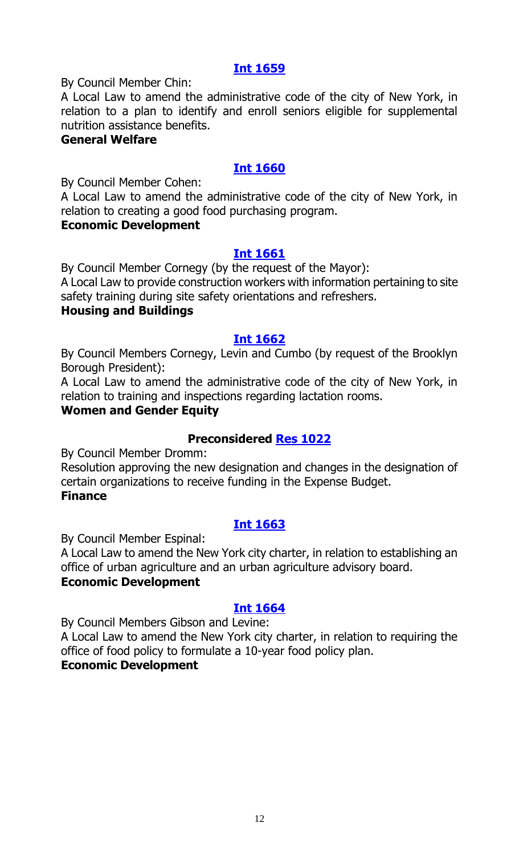By Council Member Chin:

A Local Law to amend the administrative code of the city of New York, in relation to a plan to identify and enroll seniors eligible for supplemental nutrition assistance benefits.

#### **General Welfare**

#### **[Int 1660](https://legistar.council.nyc.gov/LegislationDetail.aspx?ID=4085718&GUID=391056EF-35EE-4A7D-895E-E44FEC7E332A&Options=ID|Text|&Search=)**

By Council Member Cohen:

A Local Law to amend the administrative code of the city of New York, in relation to creating a good food purchasing program.

#### **Economic Development**

#### **[Int 1661](https://legistar.council.nyc.gov/LegislationDetail.aspx?ID=4085723&GUID=BF45FFB0-C394-422F-93E5-DA028E4A2B14&Options=ID|Text|&Search=)**

By Council Member Cornegy (by the request of the Mayor): A Local Law to provide construction workers with information pertaining to site

safety training during site safety orientations and refreshers.

#### **Housing and Buildings**

#### **[Int 1662](https://legistar.council.nyc.gov/LegislationDetail.aspx?ID=4085721&GUID=6B2CEB8C-F021-4A34-90DE-E7C189F1383B&Options=ID|Text|&Search=)**

By Council Members Cornegy, Levin and Cumbo (by request of the Brooklyn Borough President):

A Local Law to amend the administrative code of the city of New York, in relation to training and inspections regarding lactation rooms.

#### **Women and Gender Equity**

#### **Preconsidered [Res 1022](https://legistar.council.nyc.gov/LegislationDetail.aspx?ID=4076934&GUID=39E8106F-C9FC-4CE7-AA59-769AE059C062&Options=ID|Text|&Search=)**

By Council Member Dromm:

Resolution approving the new designation and changes in the designation of certain organizations to receive funding in the Expense Budget. **Finance**

#### **[Int 1663](https://legistar.council.nyc.gov/LegislationDetail.aspx?ID=4085717&GUID=2CA8646B-1F18-435F-A65F-9D6E43E5E7BA&Options=ID|Text|&Search=)**

By Council Member Espinal:

A Local Law to amend the New York city charter, in relation to establishing an office of urban agriculture and an urban agriculture advisory board. **Economic Development**

#### **[Int 1664](https://legistar.council.nyc.gov/LegislationDetail.aspx?ID=4085704&GUID=31FCE61C-E0DB-4732-A4E7-1199D9862FD8&Options=ID|Text|&Search=)**

By Council Members Gibson and Levine:

A Local Law to amend the New York city charter, in relation to requiring the office of food policy to formulate a 10-year food policy plan.

#### **Economic Development**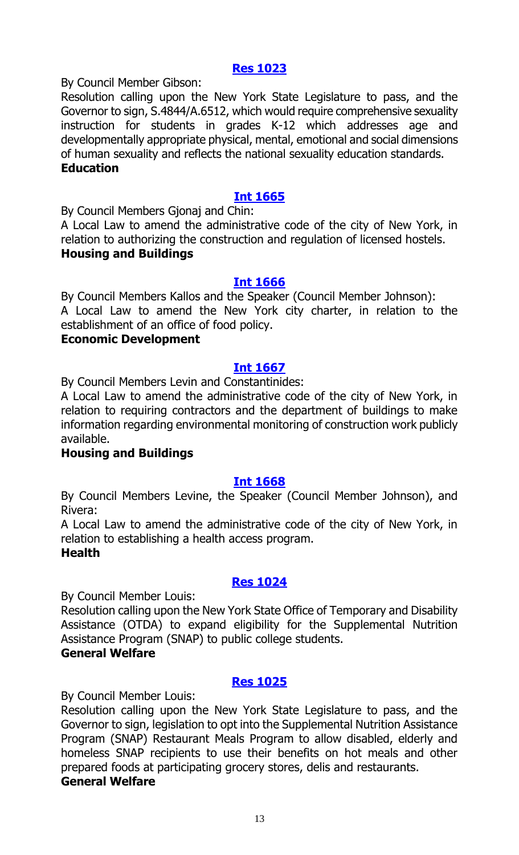#### **[Res 1023](https://legistar.council.nyc.gov/LegislationDetail.aspx?ID=4085705&GUID=D6867D1B-B9C9-4AAC-BAF2-2E81B1A61CAE&Options=ID|Text|&Search=)**

By Council Member Gibson:

Resolution calling upon the New York State Legislature to pass, and the Governor to sign, S.4844/A.6512, which would require comprehensive sexuality instruction for students in grades K-12 which addresses age and developmentally appropriate physical, mental, emotional and social dimensions of human sexuality and reflects the national sexuality education standards. **Education**

#### **[Int 1665](https://legistar.council.nyc.gov/LegislationDetail.aspx?ID=4085690&GUID=E101EDD3-BE6A-4421-9650-F33AAE5D7DD8&Options=ID|Text|&Search=)**

By Council Members Gjonaj and Chin:

A Local Law to amend the administrative code of the city of New York, in relation to authorizing the construction and regulation of licensed hostels. **Housing and Buildings**

#### **[Int 1666](https://legistar.council.nyc.gov/LegislationDetail.aspx?ID=4085715&GUID=04339741-4B70-40D1-9FEC-725CE0461553&Options=ID|Text|&Search=)**

By Council Members Kallos and the Speaker (Council Member Johnson): A Local Law to amend the New York city charter, in relation to the establishment of an office of food policy.

#### **Economic Development**

#### **[Int 1667](https://legistar.council.nyc.gov/LegislationDetail.aspx?ID=4085693&GUID=026FB051-77DD-4D73-9308-15F8D6D211D7&Options=ID|Text|&Search=)**

By Council Members Levin and Constantinides:

A Local Law to amend the administrative code of the city of New York, in relation to requiring contractors and the department of buildings to make information regarding environmental monitoring of construction work publicly available.

#### **Housing and Buildings**

#### **[Int 1668](https://legistar.council.nyc.gov/LegislationDetail.aspx?ID=4085708&GUID=39A7E7B7-1F8B-403C-94B7-EB5ACC28A455&Options=ID|Text|&Search=)**

By Council Members Levine, the Speaker (Council Member Johnson), and Rivera:

A Local Law to amend the administrative code of the city of New York, in relation to establishing a health access program.

#### **Health**

#### **[Res 1024](https://legistar.council.nyc.gov/LegislationDetail.aspx?ID=4085709&GUID=01327A5A-4B65-4F37-8392-CB43D2603AE3&Options=ID|Text|&Search=)**

By Council Member Louis:

Resolution calling upon the New York State Office of Temporary and Disability Assistance (OTDA) to expand eligibility for the Supplemental Nutrition Assistance Program (SNAP) to public college students.

#### **General Welfare**

#### **[Res 1025](https://legistar.council.nyc.gov/LegislationDetail.aspx?ID=4085710&GUID=92AF7005-7CED-4657-99C7-255512E2F364&Options=ID|Text|&Search=)**

By Council Member Louis:

Resolution calling upon the New York State Legislature to pass, and the Governor to sign, legislation to opt into the Supplemental Nutrition Assistance Program (SNAP) Restaurant Meals Program to allow disabled, elderly and homeless SNAP recipients to use their benefits on hot meals and other prepared foods at participating grocery stores, delis and restaurants. **General Welfare**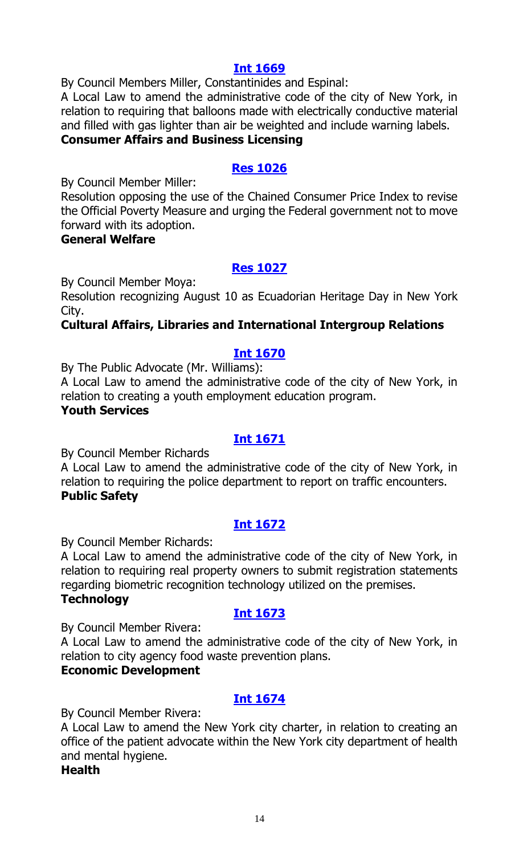By Council Members Miller, Constantinides and Espinal:

A Local Law to amend the administrative code of the city of New York, in relation to requiring that balloons made with electrically conductive material and filled with gas lighter than air be weighted and include warning labels.

## **Consumer Affairs and Business Licensing**

#### **[Res 1026](https://legistar.council.nyc.gov/LegislationDetail.aspx?ID=4085714&GUID=CA3C6900-A629-41BA-B992-CAFF193EAF35&Options=ID|Text|&Search=)**

By Council Member Miller:

Resolution opposing the use of the Chained Consumer Price Index to revise the Official Poverty Measure and urging the Federal government not to move forward with its adoption.

#### **General Welfare**

#### **[Res 1027](https://legistar.council.nyc.gov/LegislationDetail.aspx?ID=4085692&GUID=99D9AC2E-F82D-4403-B2D9-5E6EDBC8DF4C&Options=ID|Text|&Search=)**

By Council Member Moya:

Resolution recognizing August 10 as Ecuadorian Heritage Day in New York City.

#### **Cultural Affairs, Libraries and International Intergroup Relations**

#### **[Int 1670](https://legistar.council.nyc.gov/LegislationDetail.aspx?ID=4085707&GUID=6F93BF3F-80A8-46D4-BF1F-E5F130796467&Options=ID|Text|&Search=)**

By The Public Advocate (Mr. Williams):

A Local Law to amend the administrative code of the city of New York, in relation to creating a youth employment education program.

#### **Youth Services**

#### **[Int 1671](https://legistar.council.nyc.gov/LegislationDetail.aspx?ID=4085686&GUID=4D1F71E3-DFA7-420A-84C6-2724B205DACB&Options=ID|Text|&Search=)**

By Council Member Richards

A Local Law to amend the administrative code of the city of New York, in relation to requiring the police department to report on traffic encounters. **Public Safety**

#### **[Int 1672](https://legistar.council.nyc.gov/LegislationDetail.aspx?ID=4085722&GUID=B3847B08-2164-4B87-8479-2883007BCE88&Options=ID|Text|&Search=)**

By Council Member Richards:

A Local Law to amend the administrative code of the city of New York, in relation to requiring real property owners to submit registration statements regarding biometric recognition technology utilized on the premises.

#### **Technology**

#### **[Int 1673](https://legistar.council.nyc.gov/LegislationDetail.aspx?ID=4085706&GUID=9DBF3E8D-CE5E-4C55-8970-2C506ED00E66&Options=ID|Text|&Search=)**

By Council Member Rivera:

A Local Law to amend the administrative code of the city of New York, in relation to city agency food waste prevention plans.

#### **Economic Development**

#### **[Int 1674](https://legistar.council.nyc.gov/LegislationDetail.aspx?ID=4085691&GUID=3944B347-B2FC-4E4D-83AE-01A569B45994&Options=ID|Text|&Search=)**

By Council Member Rivera:

A Local Law to amend the New York city charter, in relation to creating an office of the patient advocate within the New York city department of health and mental hygiene.

#### **Health**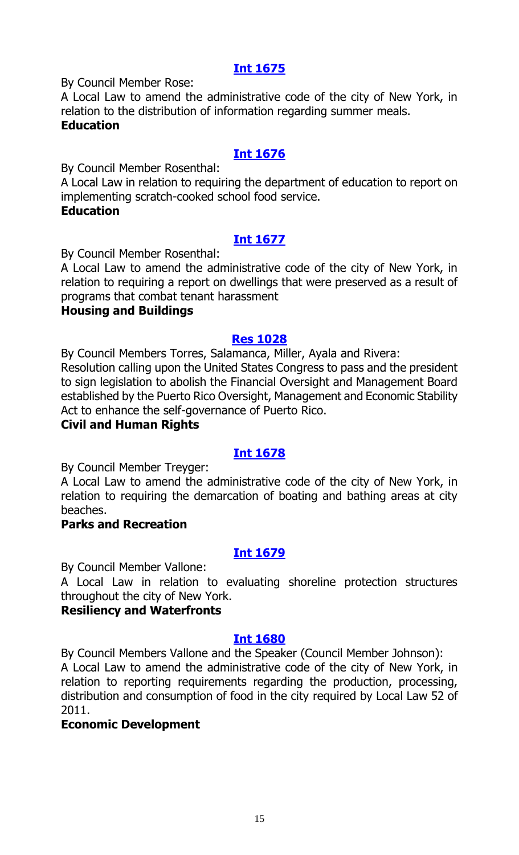By Council Member Rose:

A Local Law to amend the administrative code of the city of New York, in relation to the distribution of information regarding summer meals. **Education**

#### **[Int 1676](https://legistar.council.nyc.gov/LegislationDetail.aspx?ID=4085728&GUID=51A36B1C-6D56-4024-B75E-335752D46074&Options=ID|Text|&Search=)**

By Council Member Rosenthal:

A Local Law in relation to requiring the department of education to report on implementing scratch-cooked school food service.

#### **Education**

### **[Int 1677](https://legistar.council.nyc.gov/LegislationDetail.aspx?ID=4085729&GUID=C9611398-C2C7-4346-BA31-1BFE540C986A&Options=ID|Text|&Search=)**

By Council Member Rosenthal:

A Local Law to amend the administrative code of the city of New York, in relation to requiring a report on dwellings that were preserved as a result of programs that combat tenant harassment

#### **Housing and Buildings**

#### **[Res 1028](https://legistar.council.nyc.gov/LegislationDetail.aspx?ID=4085731&GUID=C795848B-612F-4AB1-8C6D-DE3241CD5E50&Options=ID|Text|&Search=)**

By Council Members Torres, Salamanca, Miller, Ayala and Rivera: Resolution calling upon the United States Congress to pass and the president to sign legislation to abolish the Financial Oversight and Management Board established by the Puerto Rico Oversight, Management and Economic Stability Act to enhance the self-governance of Puerto Rico.

#### **Civil and Human Rights**

#### **[Int 1678](https://legistar.council.nyc.gov/LegislationDetail.aspx?ID=4085726&GUID=8354237C-9334-47FE-9A10-E8B1301466BD&Options=ID|Text|&Search=)**

By Council Member Treyger:

A Local Law to amend the administrative code of the city of New York, in relation to requiring the demarcation of boating and bathing areas at city beaches.

#### **Parks and Recreation**

#### **[Int 1679](https://legistar.council.nyc.gov/LegislationDetail.aspx?ID=4085725&GUID=C5FD55BE-A1A7-4B20-84AD-B4A474AABBD3&Options=ID|Text|&Search=)**

By Council Member Vallone:

A Local Law in relation to evaluating shoreline protection structures throughout the city of New York.

#### **Resiliency and Waterfronts**

#### **[Int 1680](https://legistar.council.nyc.gov/LegislationDetail.aspx?ID=4085730&GUID=008FADB4-AA26-4686-AFFB-D0C5A552DF39&Options=ID|Text|&Search=)**

By Council Members Vallone and the Speaker (Council Member Johnson): A Local Law to amend the administrative code of the city of New York, in relation to reporting requirements regarding the production, processing, distribution and consumption of food in the city required by Local Law 52 of 2011.

#### **Economic Development**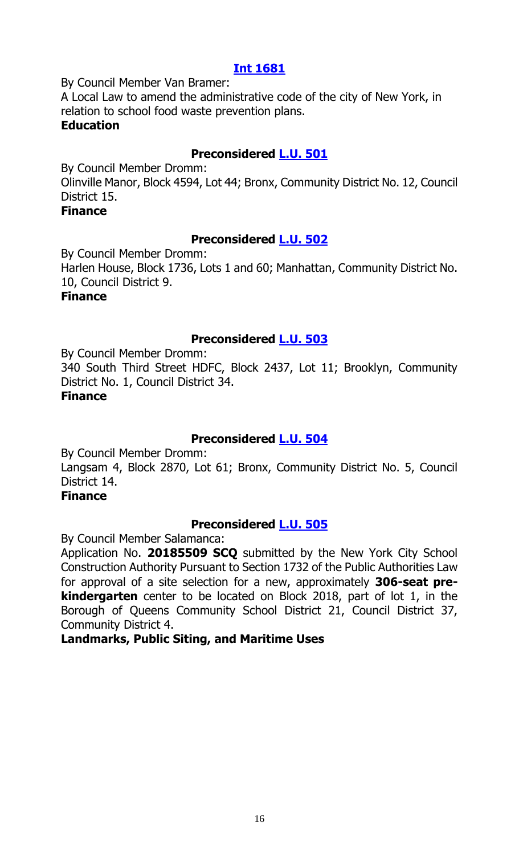By Council Member Van Bramer:

A Local Law to amend the administrative code of the city of New York, in relation to school food waste prevention plans. **Education**

#### **Preconsidered [L.U. 501](https://legistar.council.nyc.gov/LegislationDetail.aspx?ID=4082668&GUID=91755EE0-7093-43F9-BAF3-032BCA3D28A1&Options=ID|Text|&Search=)**

By Council Member Dromm: Olinville Manor, Block 4594, Lot 44; Bronx, Community District No. 12, Council District 15.

#### **Finance**

#### **Preconsidered [L.U. 502](https://legistar.council.nyc.gov/LegislationDetail.aspx?ID=4082669&GUID=338E3B4A-7879-4D03-8037-0AC23B5EA472&Options=ID|Text|&Search=)**

By Council Member Dromm: Harlen House, Block 1736, Lots 1 and 60; Manhattan, Community District No. 10, Council District 9. **Finance**

#### **Preconsidered [L.U. 503](https://legistar.council.nyc.gov/LegislationDetail.aspx?ID=4082670&GUID=CD395D7F-6821-4026-A498-5027533E2B91&Options=ID|Text|&Search=)**

By Council Member Dromm: 340 South Third Street HDFC, Block 2437, Lot 11; Brooklyn, Community District No. 1, Council District 34. **Finance**

#### **Preconsidered [L.U. 504](https://legistar.council.nyc.gov/LegislationDetail.aspx?ID=4084757&GUID=70ED26A1-5F90-48C0-BA49-3524EE8B2824&Options=ID|Text|&Search=)**

By Council Member Dromm: Langsam 4, Block 2870, Lot 61; Bronx, Community District No. 5, Council District 14.

#### **Finance**

#### **Preconsidered [L.U. 505](https://legistar.council.nyc.gov/LegislationDetail.aspx?ID=4077429&GUID=9C55A7BB-0D1B-4DB6-B248-7F53615E73E7&Options=ID|Text|&Search=)**

By Council Member Salamanca:

Application No. **20185509 SCQ** submitted by the New York City School Construction Authority Pursuant to Section 1732 of the Public Authorities Law for approval of a site selection for a new, approximately **306-seat prekindergarten** center to be located on Block 2018, part of lot 1, in the Borough of Queens Community School District 21, Council District 37, Community District 4.

#### **Landmarks, Public Siting, and Maritime Uses**